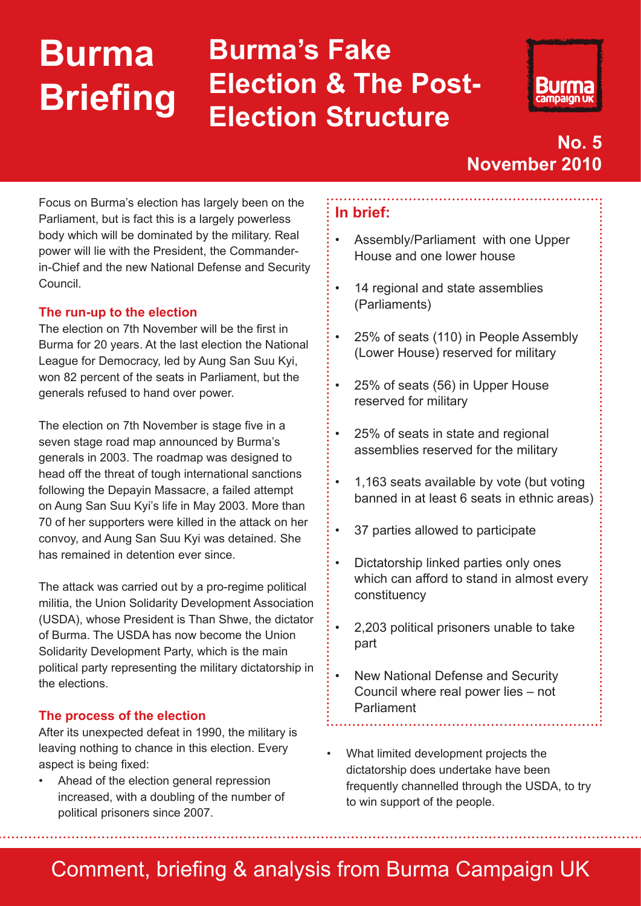## **Burma Briefing Burma's Fake Election & The Post-Election Structure**



## **No. 5 November 2010**

Focus on Burma's election has largely been on the Parliament, but is fact this is a largely powerless body which will be dominated by the military. Real power will lie with the President, the Commanderin-Chief and the new National Defense and Security Council.

## **The run-up to the election**

The election on 7th November will be the first in Burma for 20 years. At the last election the National League for Democracy, led by Aung San Suu Kyi, won 82 percent of the seats in Parliament, but the generals refused to hand over power.

The election on 7th November is stage five in a seven stage road map announced by Burma's generals in 2003. The roadmap was designed to head off the threat of tough international sanctions following the Depayin Massacre, a failed attempt on Aung San Suu Kyi's life in May 2003. More than 70 of her supporters were killed in the attack on her convoy, and Aung San Suu Kyi was detained. She has remained in detention ever since.

The attack was carried out by a pro-regime political militia, the Union Solidarity Development Association (USDA), whose President is Than Shwe, the dictator of Burma. The USDA has now become the Union Solidarity Development Party, which is the main political party representing the military dictatorship in the elections.

## **The process of the election**

After its unexpected defeat in 1990, the military is leaving nothing to chance in this election. Every aspect is being fixed:

• Ahead of the election general repression increased, with a doubling of the number of political prisoners since 2007.

## **In brief:**

- Assembly/Parliament with one Upper House and one lower house
- 14 regional and state assemblies (Parliaments)
- 25% of seats (110) in People Assembly (Lower House) reserved for military
- 25% of seats (56) in Upper House reserved for military
- 25% of seats in state and regional assemblies reserved for the military
- 1,163 seats available by vote (but voting banned in at least 6 seats in ethnic areas)
- 37 parties allowed to participate
- Dictatorship linked parties only ones which can afford to stand in almost every constituency
- 2,203 political prisoners unable to take part
- New National Defense and Security Council where real power lies – not Parliament
- What limited development projects the dictatorship does undertake have been frequently channelled through the USDA, to try to win support of the people.

# Comment, briefing & analysis from Burma Campaign UK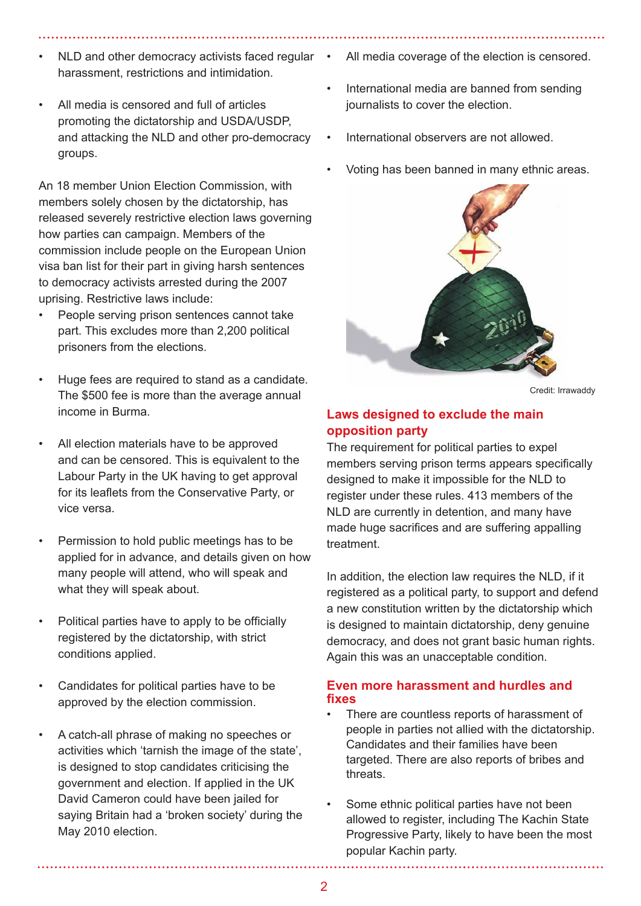- NLD and other democracy activists faced regular harassment, restrictions and intimidation.
- All media is censored and full of articles promoting the dictatorship and USDA/USDP, and attacking the NLD and other pro-democracy groups.

An 18 member Union Election Commission, with members solely chosen by the dictatorship, has released severely restrictive election laws governing how parties can campaign. Members of the commission include people on the European Union visa ban list for their part in giving harsh sentences to democracy activists arrested during the 2007 uprising. Restrictive laws include:

- People serving prison sentences cannot take part. This excludes more than 2,200 political prisoners from the elections.
- Huge fees are required to stand as a candidate. The \$500 fee is more than the average annual income in Burma.
- All election materials have to be approved and can be censored. This is equivalent to the Labour Party in the UK having to get approval for its leaflets from the Conservative Party, or vice versa.
- Permission to hold public meetings has to be applied for in advance, and details given on how many people will attend, who will speak and what they will speak about.
- Political parties have to apply to be officially registered by the dictatorship, with strict conditions applied.
- Candidates for political parties have to be approved by the election commission.
- A catch-all phrase of making no speeches or activities which 'tarnish the image of the state', is designed to stop candidates criticising the government and election. If applied in the UK David Cameron could have been jailed for saying Britain had a 'broken society' during the May 2010 election.
- All media coverage of the election is censored.
- International media are banned from sending journalists to cover the election.
- International observers are not allowed.
- Voting has been banned in many ethnic areas.



Credit: Irrawaddy

#### **Laws designed to exclude the main opposition party**

The requirement for political parties to expel members serving prison terms appears specifically designed to make it impossible for the NLD to register under these rules. 413 members of the NLD are currently in detention, and many have made huge sacrifices and are suffering appalling treatment.

In addition, the election law requires the NLD, if it registered as a political party, to support and defend a new constitution written by the dictatorship which is designed to maintain dictatorship, deny genuine democracy, and does not grant basic human rights. Again this was an unacceptable condition.

#### **Even more harassment and hurdles and fixes**

- There are countless reports of harassment of people in parties not allied with the dictatorship. Candidates and their families have been targeted. There are also reports of bribes and threats.
- Some ethnic political parties have not been allowed to register, including The Kachin State Progressive Party, likely to have been the most popular Kachin party.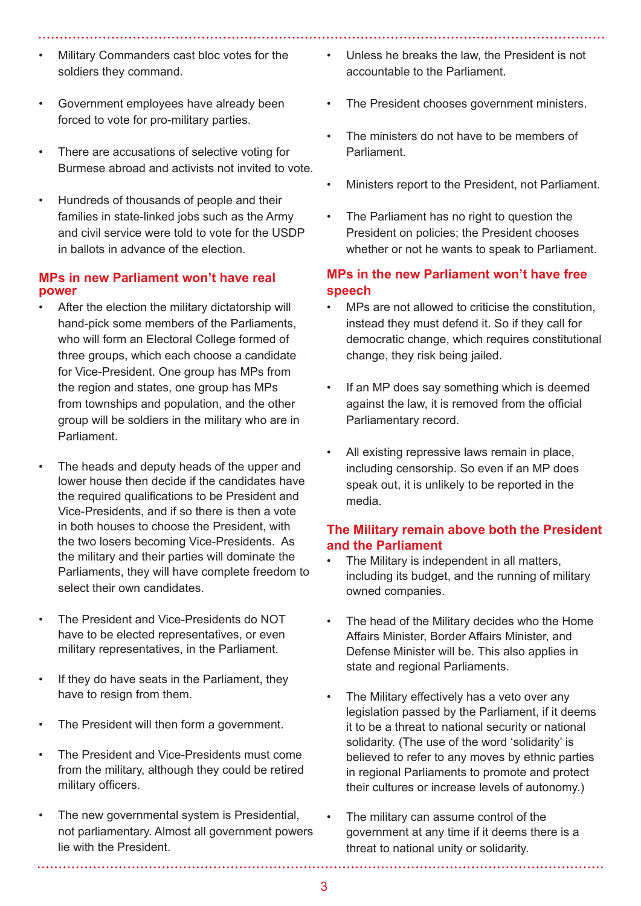- Military Commanders cast bloc votes for the soldiers they command.
- Government employees have already been forced to vote for pro-military parties.
- There are accusations of selective voting for Burmese abroad and activists not invited to vote.
- Hundreds of thousands of people and their families in state-linked jobs such as the Army and civil service were told to vote for the USDP in ballots in advance of the election.

#### **MPs in new Parliament won't have real power**

- After the election the military dictatorship will hand-pick some members of the Parliaments, who will form an Electoral College formed of three groups, which each choose a candidate for Vice-President. One group has MPs from the region and states, one group has MPs from townships and population, and the other group will be soldiers in the military who are in Parliament.
- The heads and deputy heads of the upper and lower house then decide if the candidates have the required qualifications to be President and Vice-Presidents, and if so there is then a vote in both houses to choose the President, with the two losers becoming Vice-Presidents. As the military and their parties will dominate the Parliaments, they will have complete freedom to select their own candidates.
- The President and Vice-Presidents do NOT have to be elected representatives, or even military representatives, in the Parliament.
- If they do have seats in the Parliament, they have to resign from them.
- The President will then form a government.
- The President and Vice-Presidents must come from the military, although they could be retired military officers.
- The new governmental system is Presidential, not parliamentary. Almost all government powers lie with the President.
- Unless he breaks the law, the President is not accountable to the Parliament.
- The President chooses government ministers.
- The ministers do not have to be members of Parliament.
- Ministers report to the President, not Parliament.
- The Parliament has no right to question the President on policies; the President chooses whether or not he wants to speak to Parliament.

## **MPs in the new Parliament won't have free speech**

- MPs are not allowed to criticise the constitution, instead they must defend it. So if they call for democratic change, which requires constitutional change, they risk being jailed.
- If an MP does say something which is deemed against the law, it is removed from the official Parliamentary record.
- All existing repressive laws remain in place, including censorship. So even if an MP does speak out, it is unlikely to be reported in the media.

### **The Military remain above both the President and the Parliament**

- The Military is independent in all matters, including its budget, and the running of military owned companies.
- The head of the Military decides who the Home Affairs Minister, Border Affairs Minister, and Defense Minister will be. This also applies in state and regional Parliaments.
- The Military effectively has a veto over any legislation passed by the Parliament, if it deems it to be a threat to national security or national solidarity. (The use of the word 'solidarity' is believed to refer to any moves by ethnic parties in regional Parliaments to promote and protect their cultures or increase levels of autonomy.)
- The military can assume control of the government at any time if it deems there is a threat to national unity or solidarity.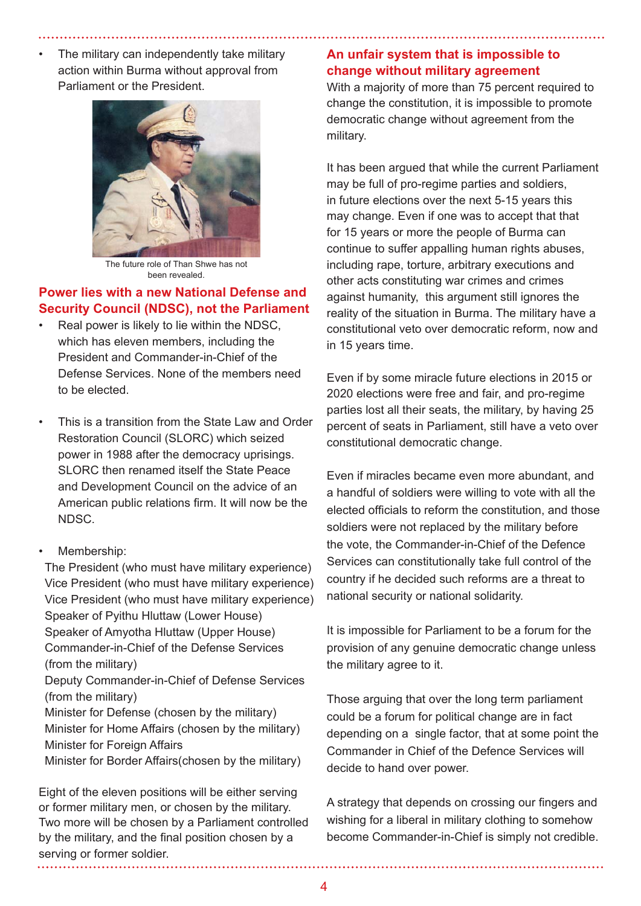The military can independently take military action within Burma without approval from Parliament or the President.



The future role of Than Shwe has not been revealed.

## **Power lies with a new National Defense and Security Council (NDSC), not the Parliament**

- Real power is likely to lie within the NDSC. which has eleven members, including the President and Commander-in-Chief of the Defense Services. None of the members need to be elected.
- This is a transition from the State Law and Order Restoration Council (SLORC) which seized power in 1988 after the democracy uprisings. SLORC then renamed itself the State Peace and Development Council on the advice of an American public relations firm. It will now be the NDSC.
- Membership:

The President (who must have military experience) Vice President (who must have military experience) Vice President (who must have military experience) Speaker of Pyithu Hluttaw (Lower House) Speaker of Amyotha Hluttaw (Upper House) Commander-in-Chief of the Defense Services (from the military) Deputy Commander-in-Chief of Defense Services (from the military) Minister for Defense (chosen by the military) Minister for Home Affairs (chosen by the military) Minister for Foreign Affairs Minister for Border Affairs(chosen by the military)

Eight of the eleven positions will be either serving or former military men, or chosen by the military. Two more will be chosen by a Parliament controlled by the military, and the final position chosen by a serving or former soldier.

## **An unfair system that is impossible to change without military agreement**

With a majority of more than 75 percent required to change the constitution, it is impossible to promote democratic change without agreement from the military.

It has been argued that while the current Parliament may be full of pro-regime parties and soldiers, in future elections over the next 5-15 years this may change. Even if one was to accept that that for 15 years or more the people of Burma can continue to suffer appalling human rights abuses, including rape, torture, arbitrary executions and other acts constituting war crimes and crimes against humanity, this argument still ignores the reality of the situation in Burma. The military have a constitutional veto over democratic reform, now and in 15 years time.

Even if by some miracle future elections in 2015 or 2020 elections were free and fair, and pro-regime parties lost all their seats, the military, by having 25 percent of seats in Parliament, still have a veto over constitutional democratic change.

Even if miracles became even more abundant, and a handful of soldiers were willing to vote with all the elected officials to reform the constitution, and those soldiers were not replaced by the military before the vote, the Commander-in-Chief of the Defence Services can constitutionally take full control of the country if he decided such reforms are a threat to national security or national solidarity.

It is impossible for Parliament to be a forum for the provision of any genuine democratic change unless the military agree to it.

Those arguing that over the long term parliament could be a forum for political change are in fact depending on a single factor, that at some point the Commander in Chief of the Defence Services will decide to hand over power.

A strategy that depends on crossing our fingers and wishing for a liberal in military clothing to somehow become Commander-in-Chief is simply not credible.